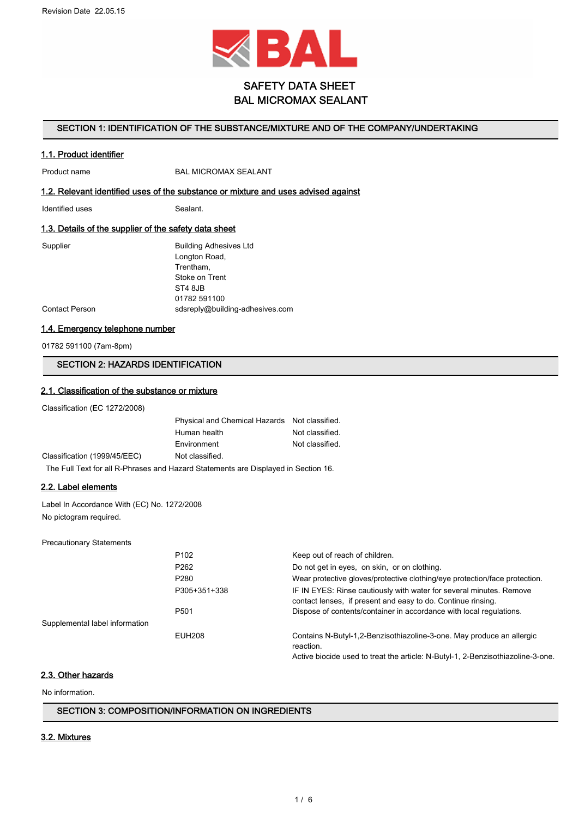

# SAFETY DATA SHEET BAL MICROMAX SEALANT

### SECTION 1: IDENTIFICATION OF THE SUBSTANCE/MIXTURE AND OF THE COMPANY/UNDERTAKING

### 1.1. Product identifier

Product name BAL MICROMAX SEALANT

## 1.2. Relevant identified uses of the substance or mixture and uses advised against

Identified uses Sealant.

### 1.3. Details of the supplier of the safety data sheet

| Supplier       | <b>Building Adhesives Ltd</b>   |
|----------------|---------------------------------|
|                | Longton Road,                   |
|                | Trentham,                       |
|                | Stoke on Trent                  |
|                | ST4 8JB                         |
|                | 01782 591100                    |
| Contact Person | sdsreply@building-adhesives.com |
|                |                                 |

### 1.4. Emergency telephone number

01782 591100 (7am-8pm)

## SECTION 2: HAZARDS IDENTIFICATION

### 2.1. Classification of the substance or mixture

Classification (EC 1272/2008)

Classification (1999/45/EEC)

| Physical and Chemical Hazards Not classified. |                 |
|-----------------------------------------------|-----------------|
| Human health                                  | Not classified. |
| Environment                                   | Not classified. |
| Not classified.                               |                 |

The Full Text for all R-Phrases and Hazard Statements are Displayed in Section 16.

## 2.2. Label elements

Label In Accordance With (EC) No. 1272/2008 No pictogram required.

Precautionary Statements

|                                | P <sub>102</sub> | Keep out of reach of children.                                                                                                      |
|--------------------------------|------------------|-------------------------------------------------------------------------------------------------------------------------------------|
|                                | P <sub>262</sub> | Do not get in eyes, on skin, or on clothing.                                                                                        |
|                                | P <sub>280</sub> | Wear protective gloves/protective clothing/eye protection/face protection.                                                          |
|                                | P305+351+338     | IF IN EYES: Rinse cautiously with water for several minutes. Remove<br>contact lenses, if present and easy to do. Continue rinsing. |
|                                | P <sub>501</sub> | Dispose of contents/container in accordance with local regulations.                                                                 |
| Supplemental label information |                  |                                                                                                                                     |
|                                | <b>EUH208</b>    | Contains N-Butyl-1,2-Benzisothiazoline-3-one. May produce an allergic<br>reaction.                                                  |

Active biocide used to treat the article: N-Butyl-1, 2-Benzisothiazoline-3-one.

## 2.3. Other hazards

No information.

#### SECTION 3: COMPOSITION/INFORMATION ON INGREDIENTS

### 3.2. Mixtures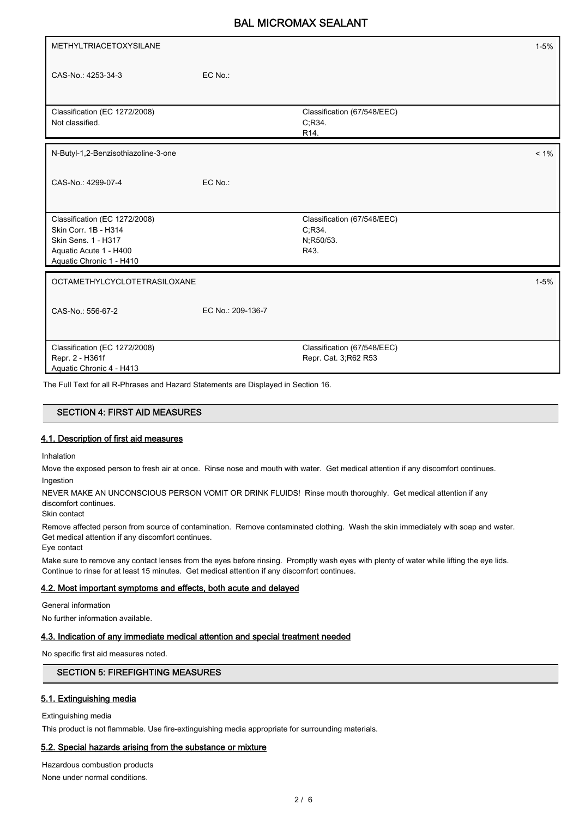| METHYLTRIACETOXYSILANE                                                                                                             |                   |                                                           | $1 - 5%$ |
|------------------------------------------------------------------------------------------------------------------------------------|-------------------|-----------------------------------------------------------|----------|
| CAS-No.: 4253-34-3                                                                                                                 | EC No.:           |                                                           |          |
| Classification (EC 1272/2008)<br>Not classified.                                                                                   |                   | Classification (67/548/EEC)<br>C,R34<br>R <sub>14</sub> . |          |
| N-Butyl-1,2-Benzisothiazoline-3-one                                                                                                |                   |                                                           | $< 1\%$  |
| CAS-No.: 4299-07-4                                                                                                                 | EC No.:           |                                                           |          |
| Classification (EC 1272/2008)<br>Skin Corr. 1B - H314<br>Skin Sens. 1 - H317<br>Aquatic Acute 1 - H400<br>Aquatic Chronic 1 - H410 |                   | Classification (67/548/EEC)<br>C.R34<br>N;R50/53.<br>R43. |          |
| OCTAMETHYLCYCLOTETRASILOXANE                                                                                                       |                   |                                                           | $1 - 5%$ |
| CAS-No.: 556-67-2                                                                                                                  | EC No.: 209-136-7 |                                                           |          |
| Classification (EC 1272/2008)<br>Repr. 2 - H361f<br>Aquatic Chronic 4 - H413                                                       |                   | Classification (67/548/EEC)<br>Repr. Cat. 3; R62 R53      |          |

The Full Text for all R-Phrases and Hazard Statements are Displayed in Section 16.

## SECTION 4: FIRST AID MEASURES

### 4.1. Description of first aid measures

Inhalation

Move the exposed person to fresh air at once. Rinse nose and mouth with water. Get medical attention if any discomfort continues. Ingestion

NEVER MAKE AN UNCONSCIOUS PERSON VOMIT OR DRINK FLUIDS! Rinse mouth thoroughly. Get medical attention if any discomfort continues.

Skin contact

Remove affected person from source of contamination. Remove contaminated clothing. Wash the skin immediately with soap and water. Get medical attention if any discomfort continues.

Eye contact

Make sure to remove any contact lenses from the eyes before rinsing. Promptly wash eyes with plenty of water while lifting the eye lids. Continue to rinse for at least 15 minutes. Get medical attention if any discomfort continues.

### 4.2. Most important symptoms and effects, both acute and delayed

General information

No further information available.

### 4.3. Indication of any immediate medical attention and special treatment needed

No specific first aid measures noted.

### SECTION 5: FIREFIGHTING MEASURES

#### 5.1. Extinguishing media

Extinguishing media

This product is not flammable. Use fire-extinguishing media appropriate for surrounding materials.

### 5.2. Special hazards arising from the substance or mixture

Hazardous combustion products None under normal conditions.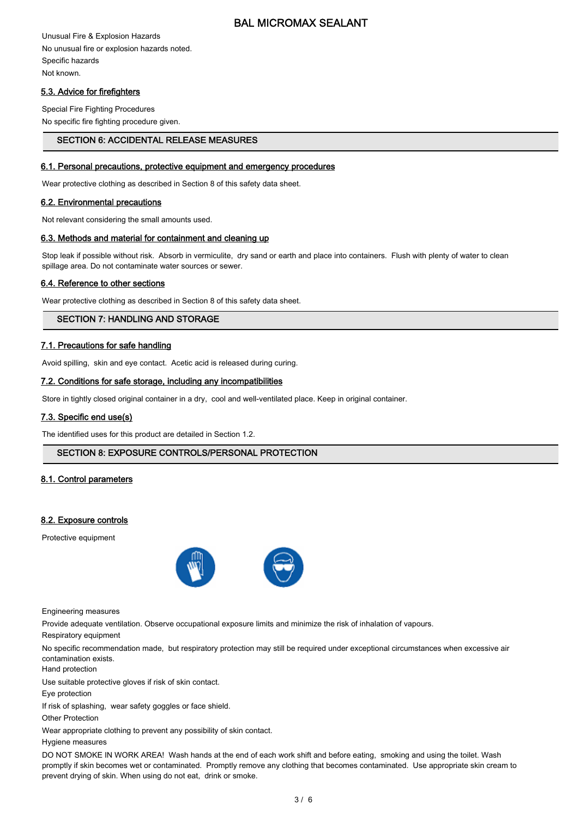Unusual Fire & Explosion Hazards No unusual fire or explosion hazards noted. Specific hazards Not known.

## 5.3. Advice for firefighters

Special Fire Fighting Procedures No specific fire fighting procedure given.

## SECTION 6: ACCIDENTAL RELEASE MEASURES

#### 6.1. Personal precautions, protective equipment and emergency procedures

Wear protective clothing as described in Section 8 of this safety data sheet.

#### 6.2. Environmental precautions

Not relevant considering the small amounts used.

#### 6.3. Methods and material for containment and cleaning up

Stop leak if possible without risk. Absorb in vermiculite, dry sand or earth and place into containers. Flush with plenty of water to clean spillage area. Do not contaminate water sources or sewer.

### 6.4. Reference to other sections

Wear protective clothing as described in Section 8 of this safety data sheet.

## SECTION 7: HANDLING AND STORAGE

### 7.1. Precautions for safe handling

Avoid spilling, skin and eye contact. Acetic acid is released during curing.

### 7.2. Conditions for safe storage, including any incompatibilities

Store in tightly closed original container in a dry, cool and well-ventilated place. Keep in original container.

### 7.3. Specific end use(s)

The identified uses for this product are detailed in Section 1.2.

### SECTION 8: EXPOSURE CONTROLS/PERSONAL PROTECTION

### 8.1. Control parameters

### 8.2. Exposure controls

Protective equipment



Engineering measures

Provide adequate ventilation. Observe occupational exposure limits and minimize the risk of inhalation of vapours.

Respiratory equipment

No specific recommendation made, but respiratory protection may still be required under exceptional circumstances when excessive air contamination exists.

Hand protection

Use suitable protective gloves if risk of skin contact.

Eye protection

If risk of splashing, wear safety goggles or face shield.

Other Protection

Wear appropriate clothing to prevent any possibility of skin contact.

Hygiene measures

DO NOT SMOKE IN WORK AREA! Wash hands at the end of each work shift and before eating, smoking and using the toilet. Wash promptly if skin becomes wet or contaminated. Promptly remove any clothing that becomes contaminated. Use appropriate skin cream to prevent drying of skin. When using do not eat, drink or smoke.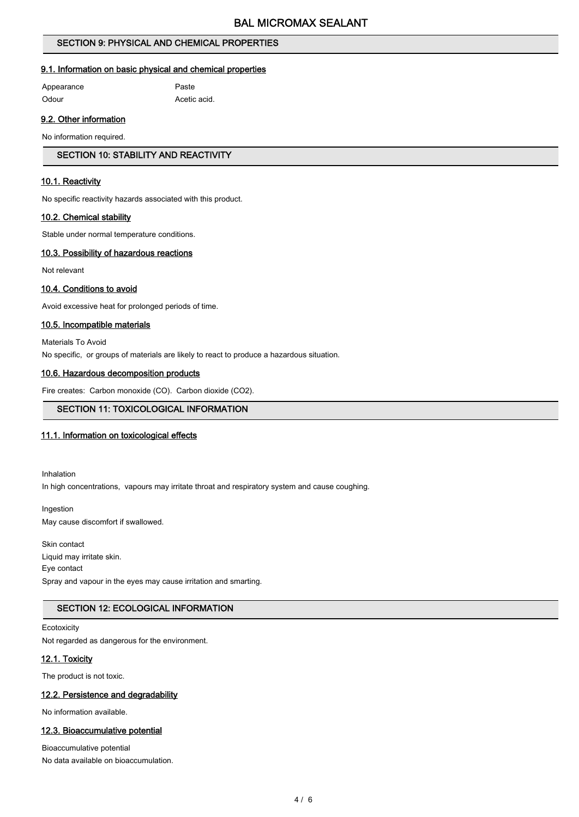## SECTION 9: PHYSICAL AND CHEMICAL PROPERTIES

### 9.1. Information on basic physical and chemical properties

Appearance Paste

Odour **Acetic acid.** 

### 9.2. Other information

No information required.

## SECTION 10: STABILITY AND REACTIVITY

### 10.1. Reactivity

No specific reactivity hazards associated with this product.

### 10.2. Chemical stability

Stable under normal temperature conditions.

#### 10.3. Possibility of hazardous reactions

Not relevant

### 10.4. Conditions to avoid

Avoid excessive heat for prolonged periods of time.

#### 10.5. Incompatible materials

Materials To Avoid No specific, or groups of materials are likely to react to produce a hazardous situation.

### 10.6. Hazardous decomposition products

Fire creates: Carbon monoxide (CO). Carbon dioxide (CO2).

### SECTION 11: TOXICOLOGICAL INFORMATION

### 11.1. Information on toxicological effects

Inhalation In high concentrations, vapours may irritate throat and respiratory system and cause coughing.

Ingestion May cause discomfort if swallowed.

Skin contact Liquid may irritate skin. Eye contact Spray and vapour in the eyes may cause irritation and smarting.

## SECTION 12: ECOLOGICAL INFORMATION

**Ecotoxicity** Not regarded as dangerous for the environment.

### 12.1. Toxicity

The product is not toxic.

### 12.2. Persistence and degradability

No information available.

### 12.3. Bioaccumulative potential

Bioaccumulative potential No data available on bioaccumulation.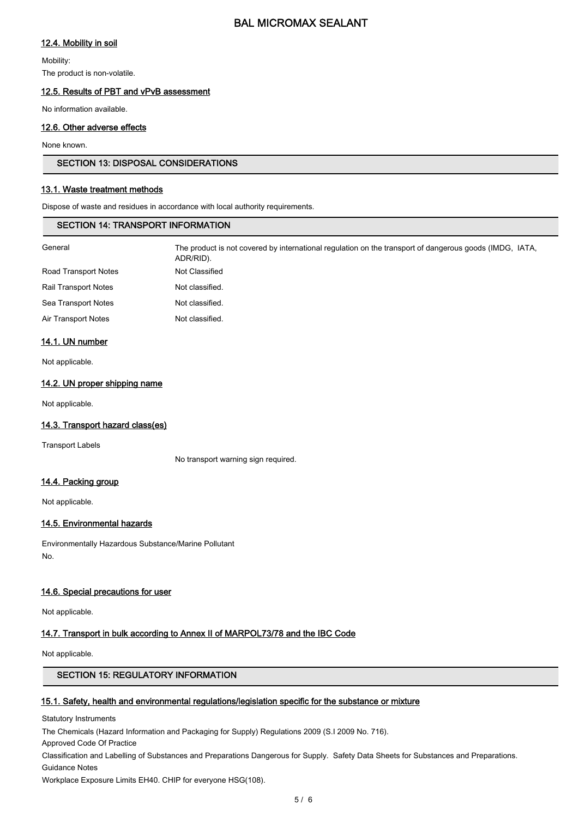## 12.4. Mobility in soil

Mobility:

The product is non-volatile.

### 12.5. Results of PBT and vPvB assessment

No information available.

## 12.6. Other adverse effects

None known.

### SECTION 13: DISPOSAL CONSIDERATIONS

## 13.1. Waste treatment methods

Dispose of waste and residues in accordance with local authority requirements.

## SECTION 14: TRANSPORT INFORMATION

| General                     | The product is not covered by international regulation on the transport of dangerous goods (IMDG, IATA,<br>ADR/RID). |
|-----------------------------|----------------------------------------------------------------------------------------------------------------------|
| <b>Road Transport Notes</b> | Not Classified                                                                                                       |
| <b>Rail Transport Notes</b> | Not classified.                                                                                                      |
| Sea Transport Notes         | Not classified.                                                                                                      |
| Air Transport Notes         | Not classified.                                                                                                      |
|                             |                                                                                                                      |

### 14.1. UN number

Not applicable.

## 14.2. UN proper shipping name

Not applicable.

## 14.3. Transport hazard class(es)

Transport Labels

No transport warning sign required.

## 14.4. Packing group

Not applicable.

## 14.5. Environmental hazards

Environmentally Hazardous Substance/Marine Pollutant No.

### 14.6. Special precautions for user

Not applicable.

## 14.7. Transport in bulk according to Annex II of MARPOL73/78 and the IBC Code

Not applicable.

### SECTION 15: REGULATORY INFORMATION

### 15.1. Safety, health and environmental regulations/legislation specific for the substance or mixture

Statutory Instruments

The Chemicals (Hazard Information and Packaging for Supply) Regulations 2009 (S.I 2009 No. 716).

Approved Code Of Practice

Classification and Labelling of Substances and Preparations Dangerous for Supply. Safety Data Sheets for Substances and Preparations. Guidance Notes

Workplace Exposure Limits EH40. CHIP for everyone HSG(108).